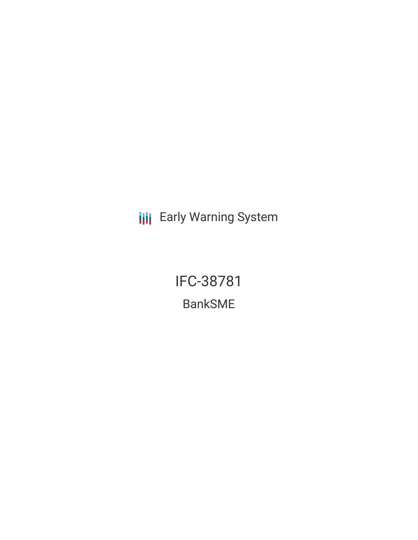**III** Early Warning System

IFC-38781 BankSME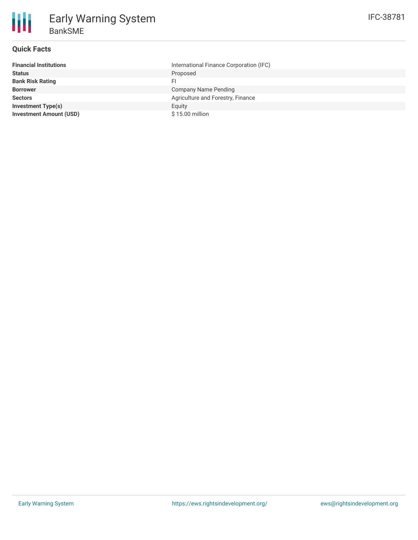## **Quick Facts**

| <b>Financial Institutions</b>  | International Finance Corporation (IFC) |
|--------------------------------|-----------------------------------------|
| <b>Status</b>                  | Proposed                                |
| <b>Bank Risk Rating</b>        | FI                                      |
| <b>Borrower</b>                | Company Name Pending                    |
| <b>Sectors</b>                 | Agriculture and Forestry, Finance       |
| <b>Investment Type(s)</b>      | Equity                                  |
| <b>Investment Amount (USD)</b> | \$15.00 million                         |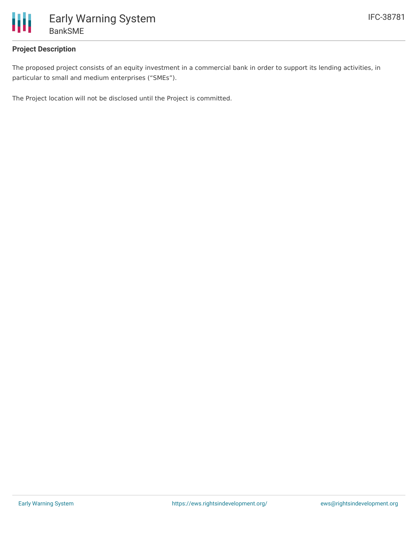

## **Project Description**

The proposed project consists of an equity investment in a commercial bank in order to support its lending activities, in particular to small and medium enterprises ("SMEs").

The Project location will not be disclosed until the Project is committed.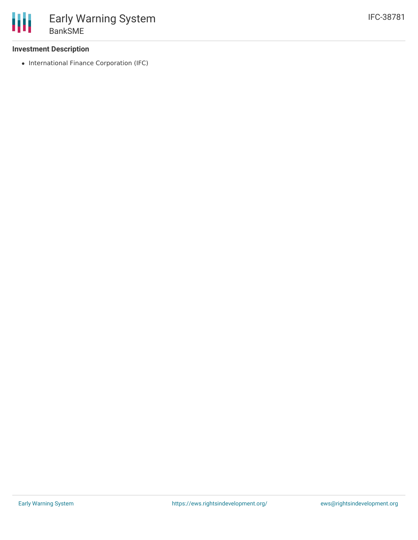## **Investment Description**

• International Finance Corporation (IFC)